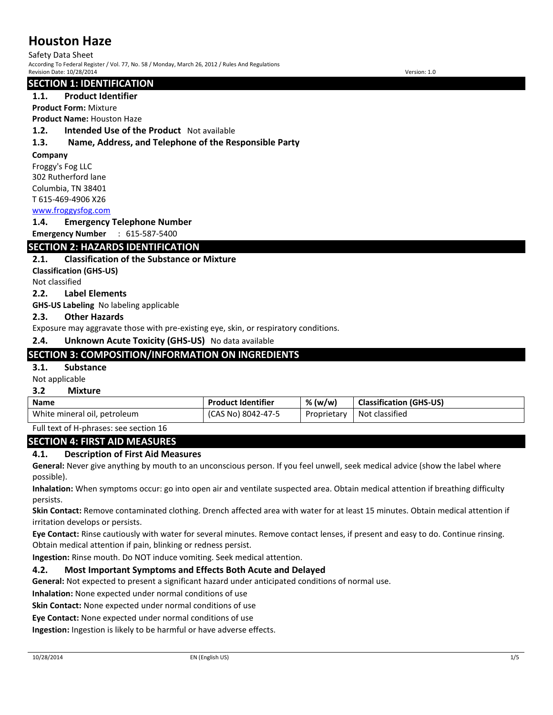Safety Data Sheet According To Federal Register / Vol. 77, No. 58 / Monday, March 26, 2012 / Rules And Regulations Revision Date: 10/28/2014 Version: 1.0

## **SECTION 1: IDENTIFICATION**

## **1.1. Product Identifier**

**Product Form:** Mixture

**Product Name:** Houston Haze

### **1.2. Intended Use of the Product** Not available

## **1.3. Name, Address, and Telephone of the Responsible Party**

#### **Company**

Froggy's Fog LLC 302 Rutherford lane Columbia, TN 38401 T 615-469-4906 X26

[www.froggysfog.com](../AppData/Local/Microsoft/AppData/Local/Temp/www.froggysfog.com)

**1.4. Emergency Telephone Number**

**Emergency Number** : 615-587-5400

## **SECTION 2: HAZARDS IDENTIFICATION**

## **2.1. Classification of the Substance or Mixture**

**Classification (GHS-US)**

Not classified

#### **2.2. Label Elements**

**GHS-US Labeling** No labeling applicable

#### **2.3. Other Hazards**

Exposure may aggravate those with pre-existing eye, skin, or respiratory conditions.

**2.4. Unknown Acute Toxicity (GHS-US)** No data available

## **SECTION 3: COMPOSITION/INFORMATION ON INGREDIENTS**

#### **3.1. Substance**

Not applicable

#### **3.2 Mixture**

| <b>Name</b>                  | <b>Product Identifier</b> | % (w/w)     | <b>Classification (GHS-US)</b> |
|------------------------------|---------------------------|-------------|--------------------------------|
| White mineral oil, petroleum | (CAS No) 8042-47-5        | Proprietary | Not classified                 |

Full text of H-phrases: see section 16

#### **SECTION 4: FIRST AID MEASURES**

## **4.1. Description of First Aid Measures**

**General:** Never give anything by mouth to an unconscious person. If you feel unwell, seek medical advice (show the label where possible).

**Inhalation:** When symptoms occur: go into open air and ventilate suspected area. Obtain medical attention if breathing difficulty persists.

**Skin Contact:** Remove contaminated clothing. Drench affected area with water for at least 15 minutes. Obtain medical attention if irritation develops or persists.

**Eye Contact:** Rinse cautiously with water for several minutes. Remove contact lenses, if present and easy to do. Continue rinsing. Obtain medical attention if pain, blinking or redness persist.

**Ingestion:** Rinse mouth. Do NOT induce vomiting. Seek medical attention.

## **4.2. Most Important Symptoms and Effects Both Acute and Delayed**

**General:** Not expected to present a significant hazard under anticipated conditions of normal use.

**Inhalation:** None expected under normal conditions of use

**Skin Contact:** None expected under normal conditions of use

**Eye Contact:** None expected under normal conditions of use

**Ingestion:** Ingestion is likely to be harmful or have adverse effects.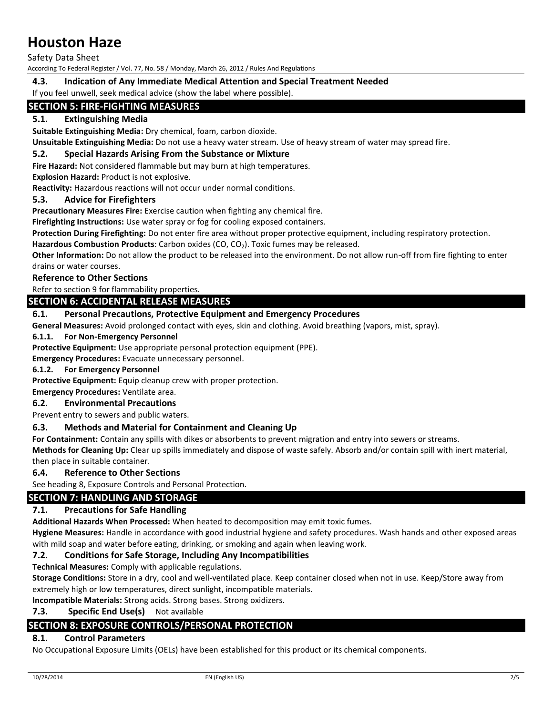Safety Data Sheet

According To Federal Register / Vol. 77, No. 58 / Monday, March 26, 2012 / Rules And Regulations

## **4.3. Indication of Any Immediate Medical Attention and Special Treatment Needed**

If you feel unwell, seek medical advice (show the label where possible).

## **SECTION 5: FIRE-FIGHTING MEASURES**

## **5.1. Extinguishing Media**

**Suitable Extinguishing Media:** Dry chemical, foam, carbon dioxide.

**Unsuitable Extinguishing Media:** Do not use a heavy water stream. Use of heavy stream of water may spread fire.

#### **5.2. Special Hazards Arising From the Substance or Mixture**

**Fire Hazard:** Not considered flammable but may burn at high temperatures.

## **Explosion Hazard:** Product is not explosive.

**Reactivity:** Hazardous reactions will not occur under normal conditions.

#### **5.3. Advice for Firefighters**

**Precautionary Measures Fire:** Exercise caution when fighting any chemical fire.

**Firefighting Instructions:** Use water spray or fog for cooling exposed containers.

**Protection During Firefighting:** Do not enter fire area without proper protective equipment, including respiratory protection.

Hazardous Combustion Products: Carbon oxides (CO, CO<sub>2</sub>). Toxic fumes may be released.

**Other Information:** Do not allow the product to be released into the environment. Do not allow run-off from fire fighting to enter drains or water courses.

### **Reference to Other Sections**

Refer to section 9 for flammability properties.

## **SECTION 6: ACCIDENTAL RELEASE MEASURES**

#### **6.1. Personal Precautions, Protective Equipment and Emergency Procedures**

**General Measures:** Avoid prolonged contact with eyes, skin and clothing. Avoid breathing (vapors, mist, spray).

## **6.1.1. For Non-Emergency Personnel**

**Protective Equipment:** Use appropriate personal protection equipment (PPE).

**Emergency Procedures:** Evacuate unnecessary personnel.

#### **6.1.2. For Emergency Personnel**

**Protective Equipment:** Equip cleanup crew with proper protection.

**Emergency Procedures:** Ventilate area.

#### **6.2. Environmental Precautions**

Prevent entry to sewers and public waters.

#### **6.3. Methods and Material for Containment and Cleaning Up**

**For Containment:** Contain any spills with dikes or absorbents to prevent migration and entry into sewers or streams.

**Methods for Cleaning Up:** Clear up spills immediately and dispose of waste safely. Absorb and/or contain spill with inert material, then place in suitable container.

#### **6.4. Reference to Other Sections**

See heading 8, Exposure Controls and Personal Protection.

#### **SECTION 7: HANDLING AND STORAGE**

#### **7.1. Precautions for Safe Handling**

**Additional Hazards When Processed:** When heated to decomposition may emit toxic fumes.

**Hygiene Measures:** Handle in accordance with good industrial hygiene and safety procedures. Wash hands and other exposed areas with mild soap and water before eating, drinking, or smoking and again when leaving work.

## **7.2. Conditions for Safe Storage, Including Any Incompatibilities**

**Technical Measures:** Comply with applicable regulations.

**Storage Conditions:** Store in a dry, cool and well-ventilated place. Keep container closed when not in use. Keep/Store away from extremely high or low temperatures, direct sunlight, incompatible materials.

**Incompatible Materials:** Strong acids. Strong bases. Strong oxidizers.

## **7.3. Specific End Use(s)** Not available

## **SECTION 8: EXPOSURE CONTROLS/PERSONAL PROTECTION**

## **8.1. Control Parameters**

No Occupational Exposure Limits (OELs) have been established for this product or its chemical components.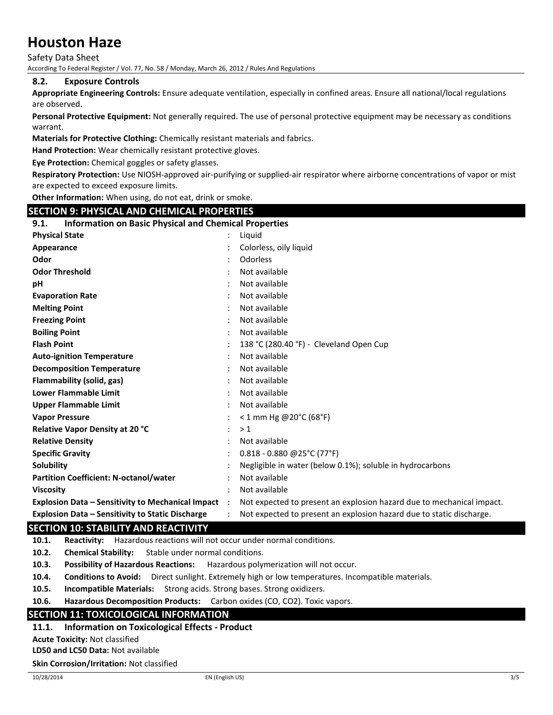Safety Data Sheet

According To Federal Register / Vol. 77, No. 58 / Monday, March 26, 2012 / Rules And Regulations

#### **8.2. Exposure Controls**

**Appropriate Engineering Controls:** Ensure adequate ventilation, especially in confined areas. Ensure all national/local regulations are observed.

**Personal Protective Equipment:** Not generally required. The use of personal protective equipment may be necessary as conditions warrant.

**Materials for Protective Clothing:** Chemically resistant materials and fabrics.

**Hand Protection:** Wear chemically resistant protective gloves.

**Eye Protection:** Chemical goggles or safety glasses.

**Respiratory Protection:** Use NIOSH-approved air-purifying or supplied-air respirator where airborne concentrations of vapor or mist are expected to exceed exposure limits.

**Other Information:** When using, do not eat, drink or smoke.

## **SECTION 9: PHYSICAL AND CHEMICAL PROPERTIES**

## **9.1. Information on Basic Physical and Chemical Properties**

| <b>INTO MARGINE OF BOSIC FRIEST CHILD CHEMICAL FRONCE LICS</b> |           |                                                                       |
|----------------------------------------------------------------|-----------|-----------------------------------------------------------------------|
| <b>Physical State</b>                                          |           | Liguid                                                                |
| Appearance                                                     |           | Colorless, oily liquid                                                |
| Odor                                                           |           | Odorless                                                              |
| <b>Odor Threshold</b>                                          |           | Not available                                                         |
| рH                                                             |           | Not available                                                         |
| <b>Evaporation Rate</b>                                        |           | Not available                                                         |
| <b>Melting Point</b>                                           |           | Not available                                                         |
| <b>Freezing Point</b>                                          |           | Not available                                                         |
| <b>Boiling Point</b>                                           |           | Not available                                                         |
| <b>Flash Point</b>                                             |           | 138 °C (280.40 °F) - Cleveland Open Cup                               |
| <b>Auto-ignition Temperature</b>                               |           | Not available                                                         |
| <b>Decomposition Temperature</b>                               |           | Not available                                                         |
| Flammability (solid, gas)                                      |           | Not available                                                         |
| <b>Lower Flammable Limit</b>                                   |           | Not available                                                         |
| <b>Upper Flammable Limit</b>                                   |           | Not available                                                         |
| <b>Vapor Pressure</b>                                          |           | $< 1$ mm Hg @20°C (68°F)                                              |
| Relative Vapor Density at 20 °C                                |           | >1                                                                    |
| <b>Relative Density</b>                                        |           | Not available                                                         |
| <b>Specific Gravity</b>                                        |           | $0.818 - 0.880$ @ 25°C (77°F)                                         |
| Solubility                                                     |           | Negligible in water (below 0.1%); soluble in hydrocarbons             |
| <b>Partition Coefficient: N-octanol/water</b>                  |           | Not available                                                         |
| <b>Viscosity</b>                                               |           | Not available                                                         |
| <b>Explosion Data - Sensitivity to Mechanical Impact</b>       | $\cdot$ : | Not expected to present an explosion hazard due to mechanical impact. |
| <b>Explosion Data – Sensitivity to Static Discharge</b>        |           | Not expected to present an explosion hazard due to static discharge.  |

## **SECTION 10: STABILITY AND REACTIVITY**

**10.1. Reactivity:** Hazardous reactions will not occur under normal conditions.

**10.2. Chemical Stability:** Stable under normal conditions.

**10.3. Possibility of Hazardous Reactions:** Hazardous polymerization will not occur.

**10.4. Conditions to Avoid:** Direct sunlight. Extremely high or low temperatures. Incompatible materials.

**10.5. Incompatible Materials:** Strong acids. Strong bases. Strong oxidizers.

**10.6. Hazardous Decomposition Products:** Carbon oxides (CO, CO2). Toxic vapors.

## **SECTION 11: TOXICOLOGICAL INFORMATION**

## **11.1. Information on Toxicological Effects - Product**

**Acute Toxicity:** Not classified

**LD50 and LC50 Data:** Not available

#### **Skin Corrosion/Irritation:** Not classified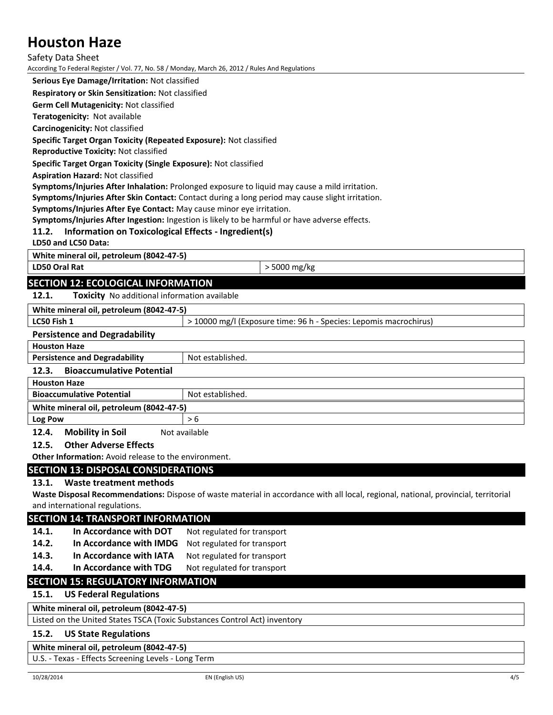Safety Data Sheet

According To Federal Register / Vol. 77, No. 58 / Monday, March 26, 2012 / Rules And Regulations

**Serious Eye Damage/Irritation:** Not classified

**Respiratory or Skin Sensitization:** Not classified

**Germ Cell Mutagenicity:** Not classified

**Teratogenicity:** Not available

**Carcinogenicity:** Not classified

#### **Specific Target Organ Toxicity (Repeated Exposure):** Not classified

**Reproductive Toxicity:** Not classified

**Specific Target Organ Toxicity (Single Exposure):** Not classified

**Aspiration Hazard:** Not classified

**Symptoms/Injuries After Inhalation:** Prolonged exposure to liquid may cause a mild irritation.

**Symptoms/Injuries After Skin Contact:** Contact during a long period may cause slight irritation.

**Symptoms/Injuries After Eye Contact:** May cause minor eye irritation.

**Symptoms/Injuries After Ingestion:** Ingestion is likely to be harmful or have adverse effects.

## **11.2. Information on Toxicological Effects - Ingredient(s)**

**LD50 and LC50 Data:**

**White mineral oil, petroleum (8042-47-5)**

**LD50 Oral Rat**  $\vert$  > 5000 mg/kg

## **SECTION 12: ECOLOGICAL INFORMATION**

**12.1. Toxicity** No additional information available

| White mineral oil, petroleum (8042-47-5)  |                                                                   |  |  |  |
|-------------------------------------------|-------------------------------------------------------------------|--|--|--|
| LC50 Fish 1                               | > 10000 mg/l (Exposure time: 96 h - Species: Lepomis macrochirus) |  |  |  |
| <b>Persistence and Degradability</b>      |                                                                   |  |  |  |
| <b>Houston Haze</b>                       |                                                                   |  |  |  |
| <b>Persistence and Degradability</b>      | Not established.                                                  |  |  |  |
| <b>Bioaccumulative Potential</b><br>12.3. |                                                                   |  |  |  |
| <b>Houston Haze</b>                       |                                                                   |  |  |  |
| <b>Bioaccumulative Potential</b>          | Not established.                                                  |  |  |  |
| White mineral oil, petroleum (8042-47-5)  |                                                                   |  |  |  |
| Log Pow                                   | > 6                                                               |  |  |  |
| <b>Mobility in Soil</b><br>12.4.          | Not available                                                     |  |  |  |
| <b>Other Adverse Effects</b><br>12.5.     |                                                                   |  |  |  |

**Other Information:** Avoid release to the environment.

## **SECTION 13: DISPOSAL CONSIDERATIONS**

#### **13.1. Waste treatment methods**

**Waste Disposal Recommendations:** Dispose of waste material in accordance with all local, regional, national, provincial, territorial and international regulations.

## **SECTION 14: TRANSPORT INFORMATION**

- **14.1. In Accordance with DOT** Not regulated for transport
- **14.2. In Accordance with IMDG** Not regulated for transport
- **14.3. In Accordance with IATA** Not regulated for transport

**14.4.** In Accordance with TDG Not regulated for transport

## **SECTION 15: REGULATORY INFORMATION**

#### **15.1. US Federal Regulations**

## **White mineral oil, petroleum (8042-47-5)**

Listed on the United States TSCA (Toxic Substances Control Act) inventory

#### **15.2. US State Regulations**

### **White mineral oil, petroleum (8042-47-5)**

U.S. - Texas - Effects Screening Levels - Long Term